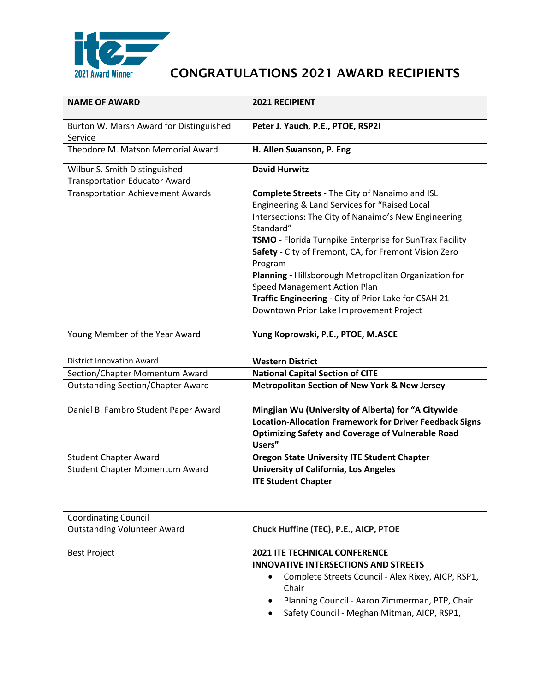

| <b>NAME OF AWARD</b>                                                  | 2021 RECIPIENT                                                                                                                                                                                                                                                                                                                                                                                                                                                                                  |
|-----------------------------------------------------------------------|-------------------------------------------------------------------------------------------------------------------------------------------------------------------------------------------------------------------------------------------------------------------------------------------------------------------------------------------------------------------------------------------------------------------------------------------------------------------------------------------------|
| Burton W. Marsh Award for Distinguished<br>Service                    | Peter J. Yauch, P.E., PTOE, RSP2I                                                                                                                                                                                                                                                                                                                                                                                                                                                               |
| Theodore M. Matson Memorial Award                                     | H. Allen Swanson, P. Eng                                                                                                                                                                                                                                                                                                                                                                                                                                                                        |
| Wilbur S. Smith Distinguished<br><b>Transportation Educator Award</b> | <b>David Hurwitz</b>                                                                                                                                                                                                                                                                                                                                                                                                                                                                            |
| <b>Transportation Achievement Awards</b>                              | Complete Streets - The City of Nanaimo and ISL<br>Engineering & Land Services for "Raised Local<br>Intersections: The City of Nanaimo's New Engineering<br>Standard"<br>TSMO - Florida Turnpike Enterprise for SunTrax Facility<br>Safety - City of Fremont, CA, for Fremont Vision Zero<br>Program<br>Planning - Hillsborough Metropolitan Organization for<br>Speed Management Action Plan<br>Traffic Engineering - City of Prior Lake for CSAH 21<br>Downtown Prior Lake Improvement Project |
| Young Member of the Year Award                                        | Yung Koprowski, P.E., PTOE, M.ASCE                                                                                                                                                                                                                                                                                                                                                                                                                                                              |
| <b>District Innovation Award</b>                                      | <b>Western District</b>                                                                                                                                                                                                                                                                                                                                                                                                                                                                         |
| Section/Chapter Momentum Award                                        | <b>National Capital Section of CITE</b>                                                                                                                                                                                                                                                                                                                                                                                                                                                         |
| <b>Outstanding Section/Chapter Award</b>                              | <b>Metropolitan Section of New York &amp; New Jersey</b>                                                                                                                                                                                                                                                                                                                                                                                                                                        |
| Daniel B. Fambro Student Paper Award                                  | Mingjian Wu (University of Alberta) for "A Citywide<br><b>Location-Allocation Framework for Driver Feedback Signs</b><br><b>Optimizing Safety and Coverage of Vulnerable Road</b><br>Users"                                                                                                                                                                                                                                                                                                     |
| <b>Student Chapter Award</b>                                          | <b>Oregon State University ITE Student Chapter</b>                                                                                                                                                                                                                                                                                                                                                                                                                                              |
| <b>Student Chapter Momentum Award</b>                                 | <b>University of California, Los Angeles</b><br><b>ITE Student Chapter</b>                                                                                                                                                                                                                                                                                                                                                                                                                      |
|                                                                       |                                                                                                                                                                                                                                                                                                                                                                                                                                                                                                 |
| <b>Coordinating Council</b><br><b>Outstanding Volunteer Award</b>     | Chuck Huffine (TEC), P.E., AICP, PTOE                                                                                                                                                                                                                                                                                                                                                                                                                                                           |
| <b>Best Project</b>                                                   | <b>2021 ITE TECHNICAL CONFERENCE</b><br><b>INNOVATIVE INTERSECTIONS AND STREETS</b><br>Complete Streets Council - Alex Rixey, AICP, RSP1,<br>$\bullet$<br>Chair<br>Planning Council - Aaron Zimmerman, PTP, Chair<br>Safety Council - Meghan Mitman, AICP, RSP1,                                                                                                                                                                                                                                |